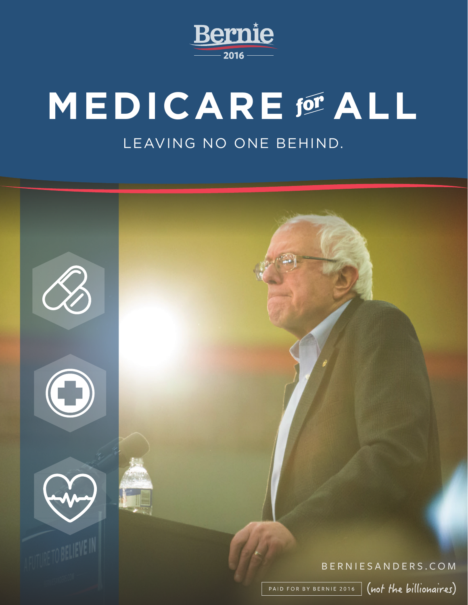

# MEDICARE FOT ALL LEAVING NO ONE BEHIND.



PAID FOR BY BERNIE 2016 (not the billionaires)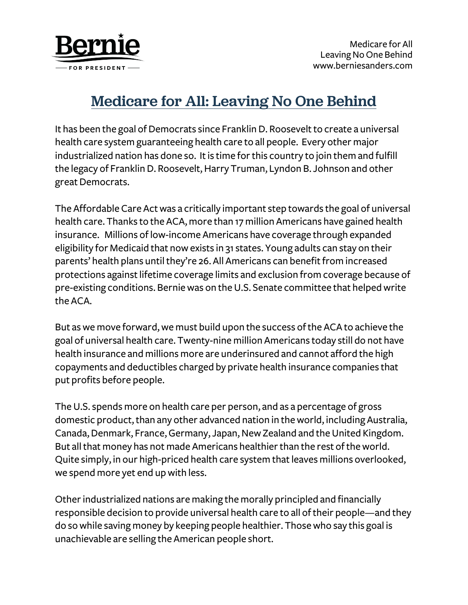

### Medicare for All: Leaving No One Behind

It has been the goal of Democrats since Franklin D. Roosevelt to create a universal health care system guaranteeing health care to all people. Every other major industrialized nation has done so. It is time for this country to join themand fulfill the legacy of Franklin D. Roosevelt, Harry Truman, Lyndon B. Johnson and other great Democrats.

The Affordable Care Act was a critically important step towards the goal of universal health care. Thanks to the ACA, more than 17 million Americans have gained health insurance. Millions of low-income Americans have coverage through expanded eligibility for Medicaid that now exists in 31 states. Young adults can stay on their parents' health plans until they're 26. All Americans can benefit from increased protections against lifetime coverage limits and exclusion from coverage because of pre-existing conditions. Bernie was on the U.S. Senate committee that helped write the ACA.

But as we move forward, we must build upon the success of the ACA to achieve the goal of universal health care. Twenty-nine million Americans today still do not have health insurance and millions more are underinsured and cannot afford the high copayments and deductibles charged by private health insurance companies that put profits before people.

The U.S. spends more on health care per person, and as a percentage of gross domestic product, than any other advanced nation in the world, including Australia, Canada, Denmark, France, Germany, Japan, New Zealand and the United Kingdom. But all that money has not made Americans healthier than the rest of the world. Quite simply, in our high-priced health care system that leaves millions overlooked, we spend more yet end up with less.

Other industrialized nations are making the morally principled and financially responsible decision to provide universal health care to all of their people—and they do so while saving money by keeping people healthier. Those who say this goal is unachievable are selling the American people short.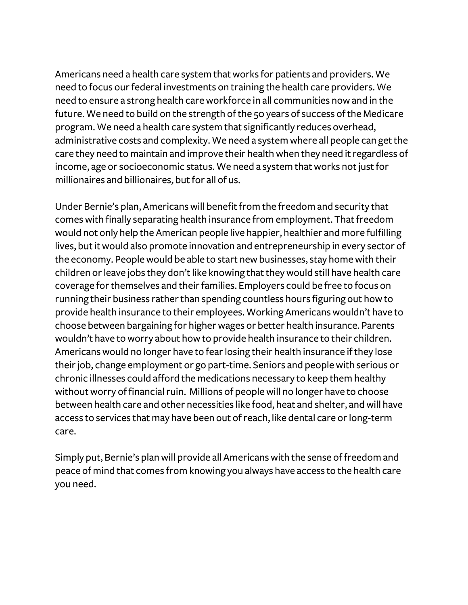Americans need a health care system that works for patients and providers. We need to focus our federal investments on training the health care providers. We need to ensure a strong health care workforce in all communities now and in the future. We need to build on the strength of the 50 years of success of the Medicare program. We need a health care system that significantly reduces overhead, administrative costs and complexity. We need a system where all people can get the care they need to maintain and improve their health when they need it regardless of income, age or socioeconomic status. We need a system that works not just for millionaires and billionaires, but for all of us.

Under Bernie's plan, Americans will benefit from the freedom and security that comes with finally separating health insurance from employment. That freedom would not only help the American people live happier, healthier and more fulfilling lives, but it would also promote innovation and entrepreneurship in every sector of the economy. People would be able to start new businesses, stay home with their children or leave jobs they don't like knowing that they would still have health care coverage for themselves and their families. Employers could be free to focus on running their business rather than spending countless hours figuring out how to provide health insurance to their employees. Working Americans wouldn't have to choose between bargaining for higher wages or better health insurance. Parents wouldn't have to worry about how to provide health insurance to their children. Americans would no longer have to fear losing their health insurance if they lose their job, change employment or go part-time. Seniors and people with serious or chronic illnesses could afford the medications necessary to keep them healthy without worry of financial ruin. Millions of people will no longer have to choose between health care and other necessities like food, heat and shelter, and will have access to services that may have been out of reach, like dental care or long-term care.

Simply put, Bernie's plan will provide all Americans with the sense of freedom and peace of mind that comes from knowing you always have access to the health care you need.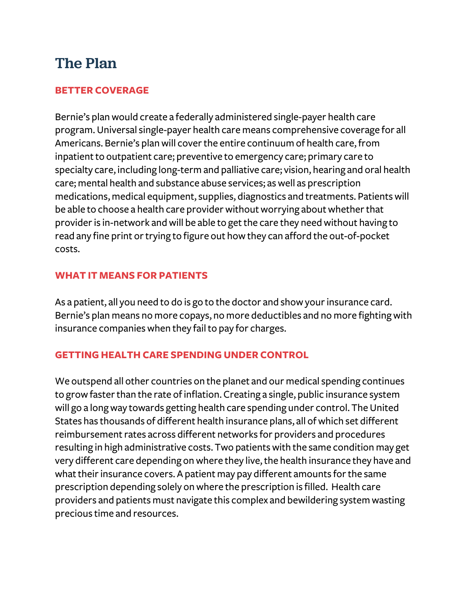### The Plan

#### **BETTER COVERAGE**

Bernie's plan would create a federally administered single-payer health care program. Universal single-payer health care means comprehensive coverage for all Americans. Bernie's plan will cover the entire continuum of health care, from inpatient to outpatient care; preventive to emergency care; primary care to specialty care, including long-term and palliative care; vision, hearing and oral health care; mental health and substance abuse services; as well as prescription medications, medical equipment, supplies, diagnostics and treatments. Patients will be able to choose a health care provider without worrying about whether that provider is in-network and will be able to get the care they need without having to read any fine print or trying to figure out how they can afford the out-of-pocket costs.

### **WHAT IT MEANS FOR PATIENTS**

As a patient, all you need to do is go to the doctor and show your insurance card. Bernie's plan means no more copays, no more deductibles and no more fighting with insurance companies when they fail to pay for charges.

### **GETTING HEALTH CARE SPENDING UNDER CONTROL**

We outspend all other countries on the planet and our medical spending continues to grow faster than the rate of inflation. Creating a single, public insurance system will go a long way towards getting health care spending under control. The United States has thousands of different health insurance plans, all of which set different reimbursement rates across different networks for providers and procedures resulting in high administrative costs. Two patients with the same condition may get very different care depending on where they live, the health insurance they have and what their insurance covers. A patient may pay different amounts for the same prescription depending solely on where the prescription is filled. Health care providers and patients must navigate this complex and bewildering system wasting precious time and resources.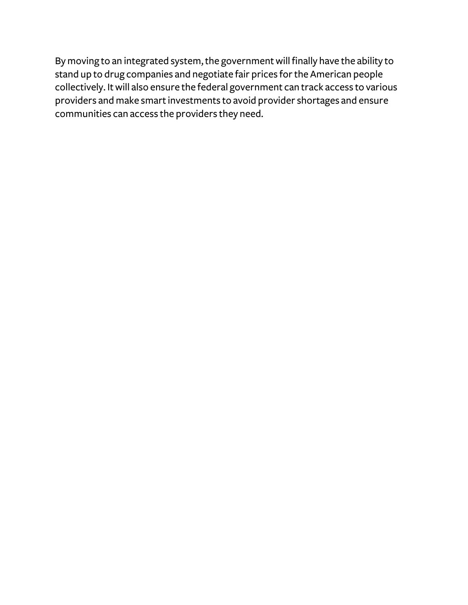By moving to an integrated system, the government will finally have the ability to stand up to drug companies and negotiate fair prices for the American people collectively. It will also ensure the federal government can track access to various providers and make smart investments to avoid provider shortages and ensure communities can access the providers they need.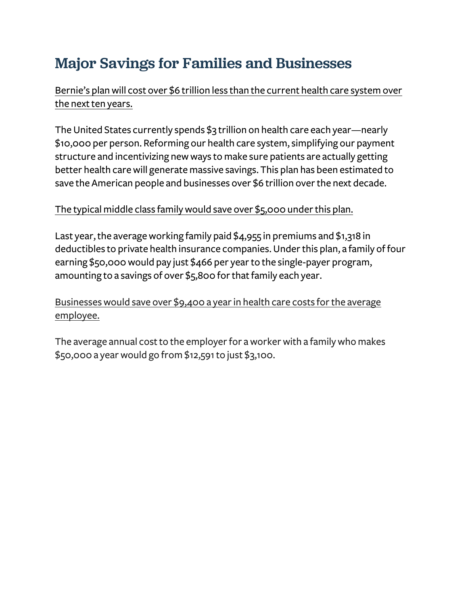# Major Savings for Families and Businesses

Bernie's plan will cost over \$6 trillion less than the current health care system over the next ten years.

The United States currently spends \$3 trillion on health care each year—nearly \$10,000 per person. Reforming our health care system, simplifying our payment structure and incentivizing new ways to make sure patients are actually getting better health care will generate massive savings. This plan has been estimated to save the American people and businesses over \$6 trillion over the next decade.

### The typical middle class family would save over \$5,000 under this plan.

Last year, the average working family paid \$4,955 in premiums and \$1,318 in deductibles to private health insurance companies. Under this plan, a family of four earning \$50,000 would pay just \$466 per year to the single-payer program, amounting to a savings of over \$5,800 for that family each year.

Businesses would save over \$9,400 a year in health care costs for the average employee.

The average annual cost to the employer for a worker with a family who makes \$50,000 a year would go from \$12,591 to just \$3,100.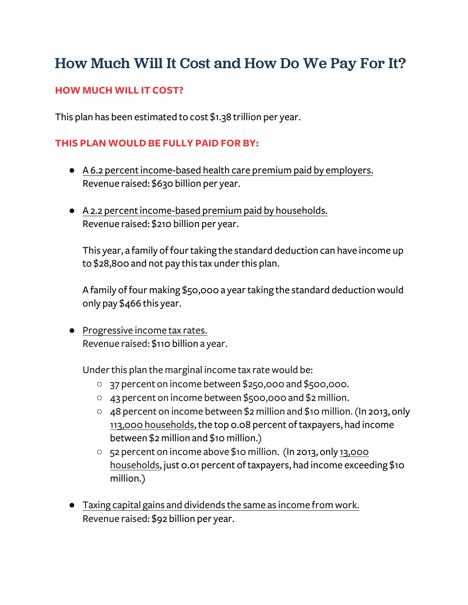## How Much Will It Cost and How Do We Pay For It?

### **HOW MUCH WILL IT COST?**

This plan has been estimated to cost \$1.38 trillion per year.

### **THIS PLAN WOULD BE FULLY PAID FOR BY:**

- A 6.2 percent income-based health care premium paid by employers. Revenue raised: \$630 billion per year.
- A 2.2 percent income-based premium paid by households. Revenue raised: \$210 billion per year.

This year, a family of four taking the standard deduction can have income up to \$28,800 and not pay this tax under this plan.

A family of four making \$50,000 a year taking the standard deduction would only pay \$466 this year.

● Progressive income tax rates. Revenue raised: \$110 billion a year.

Under this plan the marginal income tax rate would be:

- 37 percent on income between \$250,000 and \$500,000.
- 43 percent on income between \$500,000 and \$2 million.
- 48 percent on income between \$2 million and \$10 million. (In 2013, only 113,000 households, the top 0.08 percent of taxpayers, had income between \$2 million and \$10 million.)
- 52 percent on income above \$10 million. (In 2013, only 13,000 households, just 0.01 percent of taxpayers, had income exceeding \$10 million.)
- Taxing capital gains and dividends the same as income from work. Revenue raised: \$92 billion per year.